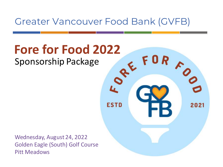Greater Vancouver Food Bank (GVFB)

**R** 

2021

**ESTD** 

# **Fore for Food 2022** Sponsorship Package

Wednesday, August 24, 2022 Golden Eagle (South) Golf Course Pitt Meadows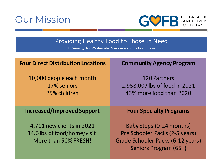



# Providing Healthy Food to Those in Need

In Burnaby, New Westminster, Vancouver and the North Shore

| <b>Four Direct Distribution Locations</b>                                        | <b>Community Agency Program</b>                                                                                          |  |  |  |  |  |
|----------------------------------------------------------------------------------|--------------------------------------------------------------------------------------------------------------------------|--|--|--|--|--|
| 10,000 people each month<br>17% seniors<br>25% children                          | <b>120 Partners</b><br>2,958,007 lbs of food in 2021<br>43% more food than 2020                                          |  |  |  |  |  |
| <b>Increased/Improved Support</b>                                                | <b>Four Specialty Programs</b>                                                                                           |  |  |  |  |  |
| 4,711 new clients in 2021<br>34.6 lbs of food/home/visit<br>More than 50% FRESH! | Baby Steps (0-24 months)<br>Pre Schooler Packs (2-5 years)<br>Grade Schooler Packs (6-12 years)<br>Seniors Program (65+) |  |  |  |  |  |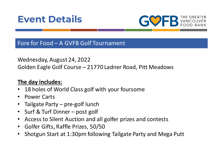



## Fore for Food – A GVFB Golf Tournament

Wednesday, August 24, 2022 Golden Eagle Golf Course – 21770 Ladner Road, Pitt Meadows

### **The day includes:**

- 18 holes of World Class golf with your foursome
- Power Carts
- Tailgate Party pre-golf lunch
- Surf & Turf Dinner post golf
- Access to Silent Auction and all golfer prizes and contests
- Golfer Gifts, Raffle Prizes, 50/50
- Shotgun Start at 1:30pm following Tailgate Party and Mega Putt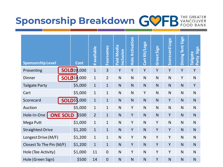

| <b>Sponsorship Level</b>     |  | <b>Cost</b>        | available    | <b>Foursomes</b> | <b>Paid Media</b><br>Inclusion | <b>Hole Activation</b> | Cart Kit/Logo | Green Sign | <b>Dao</b><br>Scorecard | Sign<br>Dining Tent | Sign<br>Tailgate<br>Party |
|------------------------------|--|--------------------|--------------|------------------|--------------------------------|------------------------|---------------|------------|-------------------------|---------------------|---------------------------|
| Presenting                   |  | <b>SOLD20,000</b>  | $\mathbf{1}$ | 3                | Y                              | Y                      | Y             | Y          | Y                       | Y                   | Y                         |
| <b>Dinner</b>                |  | <b>SOLD10,000</b>  | $\mathbf{1}$ | $\overline{2}$   | N                              | $\mathsf{N}$           | N             | N          | N                       | Y                   | $\mathsf{N}$              |
| <b>Tailgate Party</b>        |  | \$5,000            | $\mathbf 1$  | $\mathbf{1}$     | N                              | $\mathsf{N}$           | N             | N          | N                       | N                   | Y                         |
| Cart                         |  | \$5,000            | $\mathbf{1}$ | $\mathbf{1}$     | N                              | $\mathsf{N}$           | Y             | N          | N                       | N                   | $\mathsf{N}$              |
| Scorecard                    |  | <b>SOLD\$5,000</b> | $\mathbf{1}$ | $\mathbf{1}$     | N                              | N                      | N             | N          | Y                       | N                   | N                         |
| Auction                      |  | \$5,000            | $\mathbf{1}$ | $\mathbf{1}$     | $\mathsf{N}$                   | Y                      | N             | N          | N                       | $\mathsf{N}$        | N                         |
| Hole-In-One   ONE SOLD \$500 |  | $\overline{2}$     | $\mathbf{1}$ | N                | Y                              | N                      | N             | Y          | N                       | ${\sf N}$           |                           |
| Mega Putt                    |  | \$1,000            | $\mathbf{1}$ | $\mathbf{1}$     | $\mathsf{N}$                   | Y                      | N             | Y          | N                       | $\mathsf{N}$        | $\mathsf{N}$              |
| <b>Straightest Drive</b>     |  | \$1,200            | $\mathbf{1}$ | $\mathbf{1}$     | N                              | Y                      | N             | Y          | Y                       | N                   | N                         |
| Longest Drive (M/F)          |  | \$1,200            | $\mathbf{1}$ | $\mathbf{1}$     | N                              | Y                      | N             | Y          | Y                       | $\mathsf{N}$        | $\mathsf{N}$              |
| Closest To The Pin (M/F)     |  | \$1,200            | $\mathbf{1}$ | $\overline{1}$   | $\mathsf{N}$                   | Y                      | N             | Y          | Y                       | N                   | N                         |
| Hole (Tee Activity)          |  | \$1,000            | 11           | $\mathbf 0$      | N                              | Y                      | N             | Y          | Y                       | N                   | $\mathsf{N}$              |
| Hole (Green Sign)            |  | \$500              | 14           | $\mathbf 0$      | N                              | N                      | N             | Y          | N                       | N                   | N                         |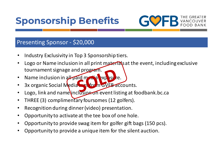

# Presenting Sponsor - \$20,000

- Industry Exclusivity in Top 3 Sponsorship tiers.
- Logo or Name inclusion in all print materials at the event, including exclusive tournament signage and program.
- Name inclusion in all paid media exp
- 3x organic Social Media tags from GVFB accounts.
- Logo, link and name inclusion on event listing at foodbank.bc.ca
- THREE (3) complimentary foursomes (12 golfers).
- Recognition during dinner (video) presentation.
- Opportunity to activate at the tee box of one hole.
- Opportunity to provide swag item for golfer gift bags (150 pcs).
- Opportunity to provide a unique item for the silent auction.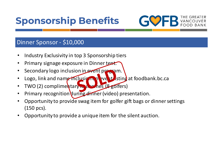

# Dinner Sponsor - \$10,000

- Industry Exclusivity in top 3 Sponsorship tiers
- Primary signage exposure in Dinner tent.
- Secondary logo inclusion in event program.
- Logo, link and name inclusion on event isting at foodbank.bc.ca
- TWO (2) complimentary in the nes (8 golfers)
- Primary recognition during dinner (video) presentation.
- Opportunity to provide swag item for golfer gift bags or dinner settings (150 pcs).
- Opportunity to provide a unique item for the silent auction.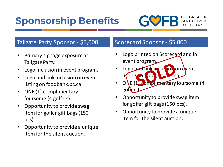

# Tailgate Party Sponsor - \$5,000 Scorecard Sponsor - \$5,000

- Primary signage exposure at Tailgate Party.
- Logo inclusion in event program.
- Logo and link inclusion on event listing on foodbank.bc.ca
- ONE (1) complimentary foursome (4 golfers).
- Opportunity to provide swag item for golfer gift bags (150 pcs).
- Opportunity to provide a unique item for the silent auction.

- Logo printed on Scorecard and in event program.
- Logo and link inclusion on event listing on foodbank.bc.ca
- ONE (1) complimentary foursome (4 golfers).
- Opportunity to provide swag item for golfer gift bags (150 pcs).
- Opportunity to provide a unique item for the silent auction.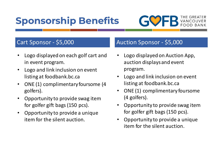

# Cart Sponsor - \$5,000

- Logo displayed on each golf cart and in event program.
- Logo and link inclusion on event listing at foodbank.bc.ca
- ONE (1) complimentary foursome (4 golfers).
- Opportunity to provide swag item for golfer gift bags (150 pcs).
- Opportunity to provide a unique item for the silent auction.

# Auction Sponsor - \$5,000

- Logo displayed on Auction App, auction displays and event program.
- Logo and link inclusion on event listing at foodbank.bc.ca
- ONE (1) complimentary foursome (4 golfers).
- Opportunity to provide swag item for golfer gift bags (150 pcs).
- Opportunity to provide a unique item for the silent auction.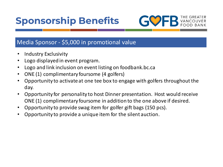

# Media Sponsor - \$5,000 in promotional value

- Industry Exclusivity
- Logo displayed in event program.
- Logo and link inclusion on event listing on foodbank.bc.ca
- ONE (1) complimentary foursome (4 golfers)
- Opportunity to activate at one tee box to engage with golfers throughout the day.
- Opportunity for personality to host Dinner presentation. Host would receive ONE (1) complimentary foursome in addition to the one above if desired.
- Opportunity to provide swag item for golfer gift bags (150 pcs).
- Opportunity to provide a unique item for the silent auction.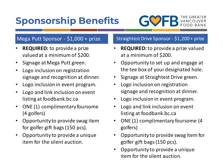

### Mega Putt Sponsor - \$1,000 + prize

- **REQUIRED:** to provide a prize valued at a minimum of \$200.
- Signage at Mega Putt green.
- Logo inclusion on registration signage and recognition at dinner.
- Logo inclusion in event program.
- Logo and link inclusion on event listing at foodbank.bc.ca
- ONE (1) complimentary foursome (4 golfers)
- Opportunity to provide swag item for golfer gift bags (150 pcs).
- Opportunity to provide a unique item for the silent auction.

#### Straightest Drive Sponsor - \$1,200 + prize

- **REQUIRED:** to provide a prize valued at a minimum of \$200.
- Opportunity to set up and engage at the tee box of your designated hole.
- Signage at Straightest Drive green.
- Logo inclusion on registration signage and recognition at dinner.
- Logo inclusion in event program.
- Logo and link inclusion on event listing at foodbank.bc.ca
- ONE (1) complimentary foursome (4 golfers)
- Opportunity to provide swag item for golfer gift bags (150 pcs).
- Opportunity to provide a unique item for the silent auction.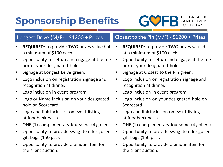

### Longest Drive (M/F) - \$1200 + Prizes

- **REQUIRED:** to provide TWO prizes valued at a minimum of \$100 each.
- Opportunity to set up and engage at the tee box of your designated hole.
- Signage at Longest Drive green.
- Logo inclusion on registration signage and recognition at dinner.
- Logo inclusion in event program.
- Logo or Name inclusion on your designated hole on Scorecard
- Logo and link inclusion on event listing at foodbank.bc.ca
- ONE (1) complimentary foursome (4 golfers)
- Opportunity to provide swag item for golfer gift bags (150 pcs).
- Opportunity to provide a unique item for the silent auction.

### Closest to the Pin (M/F) - \$1200 + Prizes

- **REQUIRED:** to provide TWO prizes valued at a minimum of \$100 each.
- Opportunity to set up and engage at the tee box of your designated hole.
- Signage at Closest to the Pin green.
- Logo inclusion on registration signage and recognition at dinner.
- Logo inclusion in event program.
- Logo inclusion on your designated hole on Scorecard
- Logo and link inclusion on event listing at foodbank.bc.ca
- ONE (1) complimentary foursome (4 golfers)
- Opportunity to provide swag item for golfer gift bags (150 pcs).
- Opportunity to provide a unique item for the silent auction.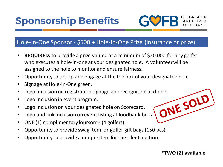



## Hole-In-One Sponsor - \$500 + Hole-In-One Prize (insurance or prize)

- **REQUIRED:** to provide a prize valued at a minimum of \$20,000 for any golfer who executes a hole-in-one at your designated hole. A volunteer will be assigned to the hole to monitor and ensure fairness.
- Opportunity to set up and engage at the tee box of your designated hole.
- Signage at Hole-In-One green.
- Logo inclusion on registration signage and recognition at dinner.<br>Logo inclusion on your designated hole on Scorecard.<br>Logo and link inclusion on a
- Logo inclusion in event program.
- Logo inclusion on your designated hole on Scorecard.
- Logo and link inclusion on event listing at foodbank.bc.ca
- ONE (1) complimentary foursome (4 golfers).
- Opportunity to provide swag item for golfer gift bags (150 pcs).
- Opportunity to provide a unique item for the silent auction.

**\*TWO (2) available**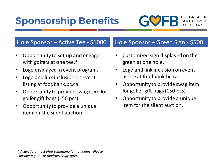

## Hole Sponsor – Active Tee - \$1000

- Opportunity to set up and engage with golfers at one tee.\*
- Logo displayed in event program.
- Logo and link inclusion on event listing at foodbank.bc.ca
- Opportunity to provide swag item for golfer gift bags (150 pcs).
- Opportunity to provide a unique item for the silent auction.

# Hole Sponsor – Green Sign - \$500

- Customized sign displayed on the green at one hole.
- Logo and link inclusion on event listing at foodbank.bc.ca
- Opportunity to provide swag item for golfer gift bags (150 pcs).
- Opportunity to provide a unique item for the silent auction.

*\* Activations must offer something fun to golfers. Please consider a game or food/beverage offer.*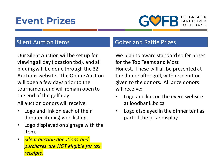# **Event Prizes**



## Silent Auction Items

Our Silent Auction will be set up for viewing all day (location tbd), and all bidding will be done through the 32 Auctions website. The Online Auction will open a few days prior to the tournament and will remain open to the end of the golf day.

All auction donors will receive:

- Logo and link on each of their donated item(s) web listing.
- Logo displayed on signage with the item.
- *Silent auction donations and purchases are NOT eligible for tax receipts.*

# Golfer and Raffle Prizes

We plan to award standard golfer prizes for the Top Teams and Most Honest. These will all be presented at the dinner after golf, with recognition given to the donors. All prize donors will receive:

- Logo and link on the event website at foodbank.bc.ca
- Logo displayed in the dinner tent as part of the prize display.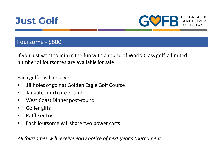



### Foursome - \$800

If you just want to join in the fun with a round of World Class golf, a limited number of foursomes are available for sale.

Each golfer will receive

- 18 holes of golf at Golden Eagle Golf Course
- Tailgate Lunch pre-round
- West Coast Dinner post-round
- Golfer gifts
- Raffle entry
- Each foursome will share two power carts

*All foursomes will receive early notice of next year's tournament.*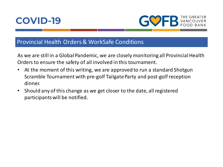



### Provincial Health Orders & WorkSafe Conditions

As we are still in a Global Pandemic, we are closely monitoring all Provincial Health Orders to ensure the safety of all involved in this tournament.

- At the moment of this writing, we are approved to run a standard Shotgun Scramble Tournament with pre-golf Tailgate Party and post-golf reception dinner.
- Should any of this change as we get closer to the date, all registered participants will be notified.